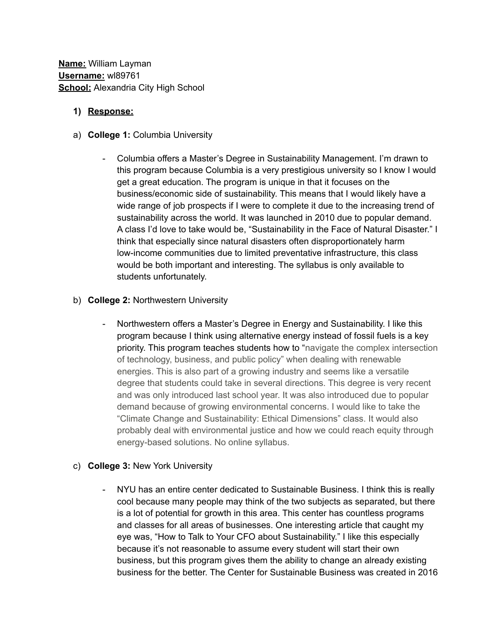## **1) Response:**

- a) **College 1:** Columbia University
	- Columbia offers a Master's Degree in Sustainability Management. I'm drawn to this program because Columbia is a very prestigious university so I know I would get a great education. The program is unique in that it focuses on the business/economic side of sustainability. This means that I would likely have a wide range of job prospects if I were to complete it due to the increasing trend of sustainability across the world. It was launched in 2010 due to popular demand. A class I'd love to take would be, "Sustainability in the Face of Natural Disaster." I think that especially since natural disasters often disproportionately harm low-income communities due to limited preventative infrastructure, this class would be both important and interesting. The syllabus is only available to students unfortunately.
- b) **College 2:** Northwestern University
	- Northwestern offers a Master's Degree in Energy and Sustainability. I like this program because I think using alternative energy instead of fossil fuels is a key priority. This program teaches students how to "navigate the complex intersection of technology, business, and public policy" when dealing with renewable energies. This is also part of a growing industry and seems like a versatile degree that students could take in several directions. This degree is very recent and was only introduced last school year. It was also introduced due to popular demand because of growing environmental concerns. I would like to take the "Climate Change and Sustainability: Ethical Dimensions" class. It would also probably deal with environmental justice and how we could reach equity through energy-based solutions. No online syllabus.

## c) **College 3:** New York University

- NYU has an entire center dedicated to Sustainable Business. I think this is really cool because many people may think of the two subjects as separated, but there is a lot of potential for growth in this area. This center has countless programs and classes for all areas of businesses. One interesting article that caught my eye was, "How to Talk to Your CFO about Sustainability." I like this especially because it's not reasonable to assume every student will start their own business, but this program gives them the ability to change an already existing business for the better. The Center for Sustainable Business was created in 2016